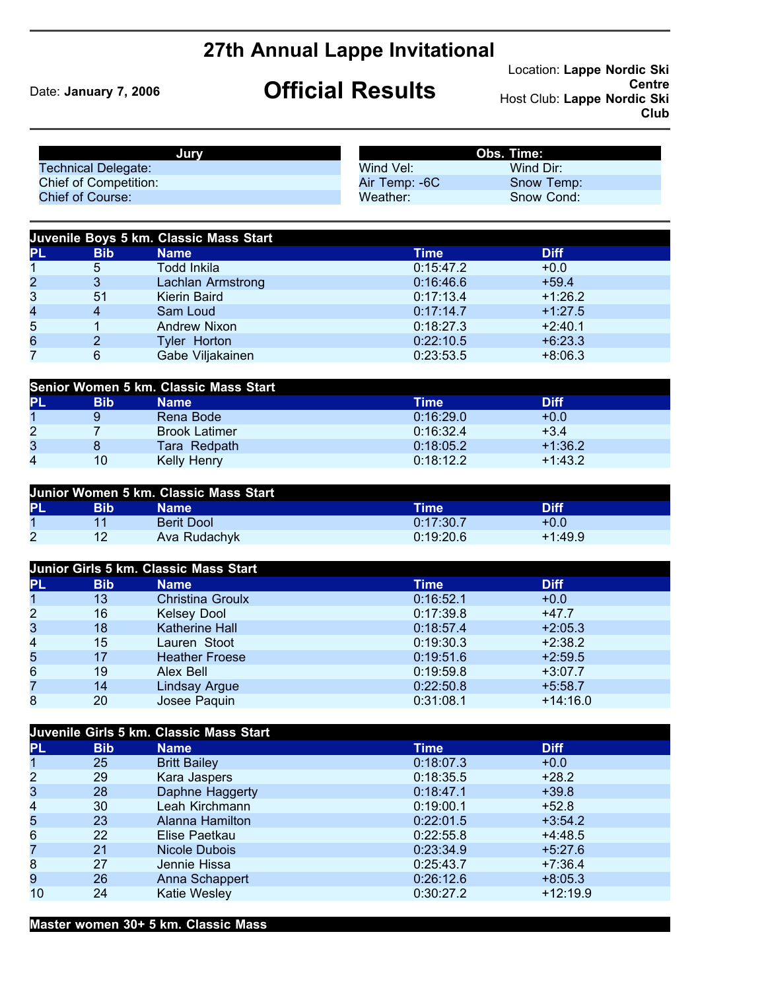## **27th Annual Lappe Invitational**

## Date: **January 7, 2006 Official Results**

Location: **Lappe Nordic Ski Centre** Host Club: **Lappe Nordic Ski Club**

|                                  |                              | Jury                                        | Obs. Time:             |                        |  |
|----------------------------------|------------------------------|---------------------------------------------|------------------------|------------------------|--|
| <b>Technical Delegate:</b>       |                              |                                             | Wind Vel:              | Wind Dir:              |  |
|                                  | <b>Chief of Competition:</b> |                                             | Air Temp: - 6C         | Snow Temp:             |  |
| <b>Chief of Course:</b>          |                              |                                             | Weather:               | Snow Cond:             |  |
|                                  |                              | Juvenile Boys 5 km. Classic Mass Start      |                        |                        |  |
| PL                               | <b>Bib</b>                   | <b>Name</b>                                 | <b>Time</b>            | <b>Diff</b>            |  |
| $\mathbf 1$                      | 5                            | <b>Todd Inkila</b>                          | 0:15:47.2              | $+0.0$                 |  |
| $\overline{\mathbf{c}}$          | $\mathbf{3}$                 | Lachlan Armstrong                           | 0:16:46.6              | $+59.4$                |  |
| 3                                | 51                           | Kierin Baird                                | 0:17:13.4              | $+1:26.2$              |  |
| 4                                | $\overline{\mathbf{4}}$      | Sam Loud                                    | 0:17:14.7              | $+1:27.5$              |  |
| 5                                | 1                            | <b>Andrew Nixon</b>                         | 0:18:27.3              | $+2:40.1$              |  |
| 6                                | $\overline{2}$               | Tyler Horton                                | 0:22:10.5              | $+6:23.3$              |  |
| 7                                | $6\phantom{1}$               | Gabe Viljakainen                            | 0:23:53.5              | $+8:06.3$              |  |
|                                  |                              |                                             |                        |                        |  |
|                                  |                              | Senior Women 5 km. Classic Mass Start       |                        |                        |  |
| PL                               | <b>Bib</b>                   | <b>Name</b>                                 | <b>Time</b>            | <b>Diff</b>            |  |
| $\mathbf{1}$                     | $\boldsymbol{9}$             | Rena Bode                                   | 0:16:29.0              | $+0.0$                 |  |
| $\overline{c}$                   | $\overline{7}$               | <b>Brook Latimer</b>                        | 0:16:32.4              | $+3.4$                 |  |
| 3                                | 8                            | Tara Redpath                                | 0:18:05.2              | $+1:36.2$              |  |
| 4                                | 10                           | Kelly Henry                                 | 0:18:12.2              | $+1:43.2$              |  |
|                                  |                              |                                             |                        |                        |  |
|                                  |                              | Junior Women 5 km. Classic Mass Start       |                        |                        |  |
| PL                               | <b>Bib</b>                   | <b>Name</b>                                 | <b>Time</b>            | <b>Diff</b>            |  |
| $\mathbf{1}$                     | 11                           | <b>Berit Dool</b>                           | 0:17:30.7              | $+0.0$                 |  |
| $\overline{2}$                   | 12                           | Ava Rudachyk                                | 0:19:20.6              | $+1:49.9$              |  |
|                                  |                              | Junior Girls 5 km. Classic Mass Start       |                        |                        |  |
|                                  | <b>Bib</b>                   |                                             | <b>Time</b>            | <b>Diff</b>            |  |
| PL<br>$\overline{1}$             | 13                           | <b>Name</b><br><b>Christina Groulx</b>      | 0:16:52.1              | $+0.0$                 |  |
|                                  |                              |                                             |                        |                        |  |
| $\overline{\mathbf{c}}$          | 16<br>18                     | <b>Kelsey Dool</b><br><b>Katherine Hall</b> | 0:17:39.8              | $+47.7$                |  |
| 3<br>$\overline{\mathbf{4}}$     | 15                           | Lauren Stoot                                | 0:18:57.4<br>0:19:30.3 | $+2:05.3$<br>$+2:38.2$ |  |
|                                  | 17                           |                                             |                        |                        |  |
| 5                                | 19                           | <b>Heather Froese</b>                       | 0:19:51.6              | $+2:59.5$              |  |
| $6\phantom{a}$<br>$\overline{7}$ |                              | <b>Alex Bell</b>                            | 0:19:59.8              | $+3:07.7$              |  |
|                                  | 14                           | <b>Lindsay Argue</b>                        | 0:22:50.8              | $+5:58.7$              |  |
| 8                                | 20                           | Josee Paquin                                | 0:31:08.1              | $+14:16.0$             |  |

| Juvenile Girls 5 km. Classic Mass Start |            |                     |           |             |  |
|-----------------------------------------|------------|---------------------|-----------|-------------|--|
| <b>PL</b>                               | <b>Bib</b> | <b>Name</b>         | Time      | <b>Diff</b> |  |
| 1                                       | 25         | <b>Britt Bailey</b> | 0:18:07.3 | $+0.0$      |  |
| $\overline{2}$                          | 29         | Kara Jaspers        | 0:18:35.5 | $+28.2$     |  |
| 3                                       | 28         | Daphne Haggerty     | 0:18:47.1 | $+39.8$     |  |
| 4                                       | 30         | Leah Kirchmann      | 0:19:00.1 | $+52.8$     |  |
| 5                                       | 23         | Alanna Hamilton     | 0:22:01.5 | $+3:54.2$   |  |
| 6                                       | 22         | Elise Paetkau       | 0:22:55.8 | $+4:48.5$   |  |
| 7                                       | 21         | Nicole Dubois       | 0:23:34.9 | $+5:27.6$   |  |
| 8                                       | 27         | Jennie Hissa        | 0:25:43.7 | $+7:36.4$   |  |
| 9                                       | 26         | Anna Schappert      | 0:26:12.6 | $+8:05.3$   |  |
| 10                                      | 24         | <b>Katie Wesley</b> | 0:30:27.2 | $+12:19.9$  |  |

**Master women 30+ 5 km. Classic Mass**

Josee Paquin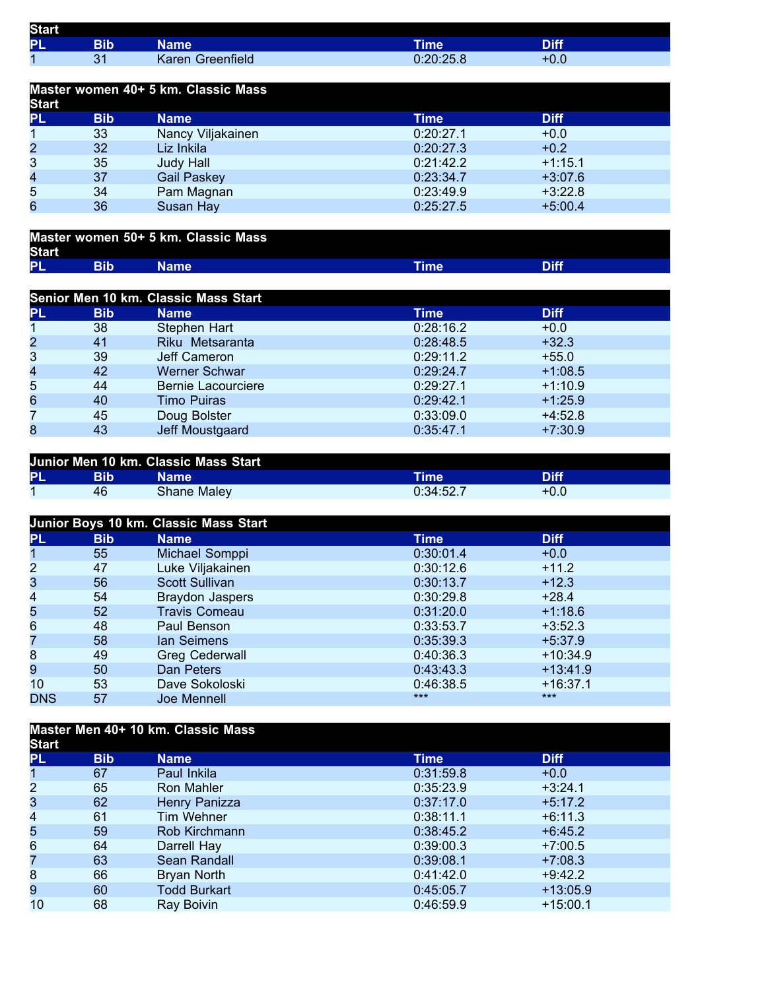| <b>Start</b> |            |                         |             |             |
|--------------|------------|-------------------------|-------------|-------------|
| <b>PL</b>    | <b>Bib</b> | Name                    | <b>Time</b> | <b>Diff</b> |
|              |            | <b>Karen Greenfield</b> | 0:20:25.8   | U.U         |

| Master women 40+ 5 km. Classic Mass<br><b>Start</b> |            |                    |           |             |  |  |
|-----------------------------------------------------|------------|--------------------|-----------|-------------|--|--|
| <b>PL</b>                                           | <b>Bib</b> | <b>Name</b>        | Time      | <b>Diff</b> |  |  |
|                                                     | 33         | Nancy Viljakainen  | 0:20:27.1 | $+0.0$      |  |  |
| $\overline{2}$                                      | 32         | Liz Inkila         | 0:20:27.3 | $+0.2$      |  |  |
| 3                                                   | 35         | Judy Hall          | 0:21:42.2 | $+1:15.1$   |  |  |
| 4                                                   | 37         | <b>Gail Paskey</b> | 0:23:34.7 | $+3:07.6$   |  |  |
| 5                                                   | 34         | Pam Magnan         | 0:23:49.9 | $+3:22.8$   |  |  |
| 6                                                   | 36         | Susan Hay          | 0:25:27.5 | $+5:00.4$   |  |  |

| Master women 50+ 5 km. Classic Mass<br><b>Start</b> |  |       |             |      |
|-----------------------------------------------------|--|-------|-------------|------|
| <b>PL</b>                                           |  | Name' | <b>Time</b> | Diff |

| Senior Men 10 km. Classic Mass Start |            |                           |           |             |  |  |
|--------------------------------------|------------|---------------------------|-----------|-------------|--|--|
| <b>PL</b>                            | <b>Bib</b> | <b>Name</b>               | Time      | <b>Diff</b> |  |  |
|                                      | 38         | Stephen Hart              | 0:28:16.2 | $+0.0$      |  |  |
| $\overline{c}$                       | 41         | Riku Metsaranta           | 0:28:48.5 | $+32.3$     |  |  |
| 3                                    | 39         | Jeff Cameron              | 0:29:11.2 | $+55.0$     |  |  |
| 4                                    | 42         | <b>Werner Schwar</b>      | 0:29:24.7 | $+1:08.5$   |  |  |
| 5                                    | 44         | <b>Bernie Lacourciere</b> | 0:29:27.1 | $+1:10.9$   |  |  |
| 6                                    | 40         | <b>Timo Puiras</b>        | 0:29:42.1 | $+1:25.9$   |  |  |
| 7                                    | 45         | Doug Bolster              | 0:33:09.0 | $+4:52.8$   |  |  |
| 8                                    | 43         | Jeff Moustgaard           | 0:35:47.1 | $+7:30.9$   |  |  |

| Junior Men 10 km. Classic Mass Start |     |              |           |             |  |
|--------------------------------------|-----|--------------|-----------|-------------|--|
| PL                                   | Bib | Name         | Time      | <b>Diff</b> |  |
|                                      | 46  | Shane Malevi | 0:34:52.7 | $+0.0$      |  |

|                         | Junior Boys 10 km. Classic Mass Start |                       |           |             |  |  |  |
|-------------------------|---------------------------------------|-----------------------|-----------|-------------|--|--|--|
| <b>PL</b>               | <b>Bib</b>                            | <b>Name</b>           | Time      | <b>Diff</b> |  |  |  |
| 1                       | 55                                    | Michael Somppi        | 0:30:01.4 | $+0.0$      |  |  |  |
| $\overline{2}$          | 47                                    | Luke Viljakainen      | 0:30:12.6 | $+11.2$     |  |  |  |
| 3                       | 56                                    | <b>Scott Sullivan</b> | 0:30:13.7 | $+12.3$     |  |  |  |
| $\overline{\mathbf{4}}$ | 54                                    | Braydon Jaspers       | 0:30:29.8 | $+28.4$     |  |  |  |
| 5                       | 52                                    | <b>Travis Comeau</b>  | 0:31:20.0 | $+1:18.6$   |  |  |  |
| $6\phantom{.}6$         | 48                                    | Paul Benson           | 0:33:53.7 | $+3:52.3$   |  |  |  |
| 7                       | 58                                    | lan Seimens           | 0:35:39.3 | $+5:37.9$   |  |  |  |
| 8                       | 49                                    | <b>Greg Cederwall</b> | 0:40:36.3 | $+10:34.9$  |  |  |  |
| 9                       | 50                                    | Dan Peters            | 0:43:43.3 | $+13:41.9$  |  |  |  |
| 10                      | 53                                    | Dave Sokoloski        | 0:46:38.5 | $+16:37.1$  |  |  |  |
| <b>DNS</b>              | 57                                    | Joe Mennell           | $***$     | $***$       |  |  |  |

## **Master Men 40+ 10 km. Classic Mass Start**

| σιαι ι           |            |                     |             |             |  |
|------------------|------------|---------------------|-------------|-------------|--|
| <b>PL</b>        | <b>Bib</b> | <b>Name</b>         | <b>Time</b> | <b>Diff</b> |  |
| 1                | 67         | Paul Inkila         | 0:31:59.8   | $+0.0$      |  |
| $\overline{2}$   | 65         | Ron Mahler          | 0:35:23.9   | $+3:24.1$   |  |
| 3                | 62         | Henry Panizza       | 0:37:17.0   | $+5:17.2$   |  |
| 4                | 61         | Tim Wehner          | 0:38:11.1   | $+6:11.3$   |  |
| 5                | 59         | Rob Kirchmann       | 0:38:45.2   | $+6:45.2$   |  |
| 6                | 64         | Darrell Hay         | 0:39:00.3   | $+7:00.5$   |  |
| 7                | 63         | Sean Randall        | 0:39:08.1   | $+7:08.3$   |  |
| $\boldsymbol{8}$ | 66         | Bryan North         | 0:41:42.0   | $+9:42.2$   |  |
| 9                | 60         | <b>Todd Burkart</b> | 0:45:05.7   | $+13:05.9$  |  |
| 10               | 68         | Ray Boivin          | 0:46:59.9   | $+15:00.1$  |  |
|                  |            |                     |             |             |  |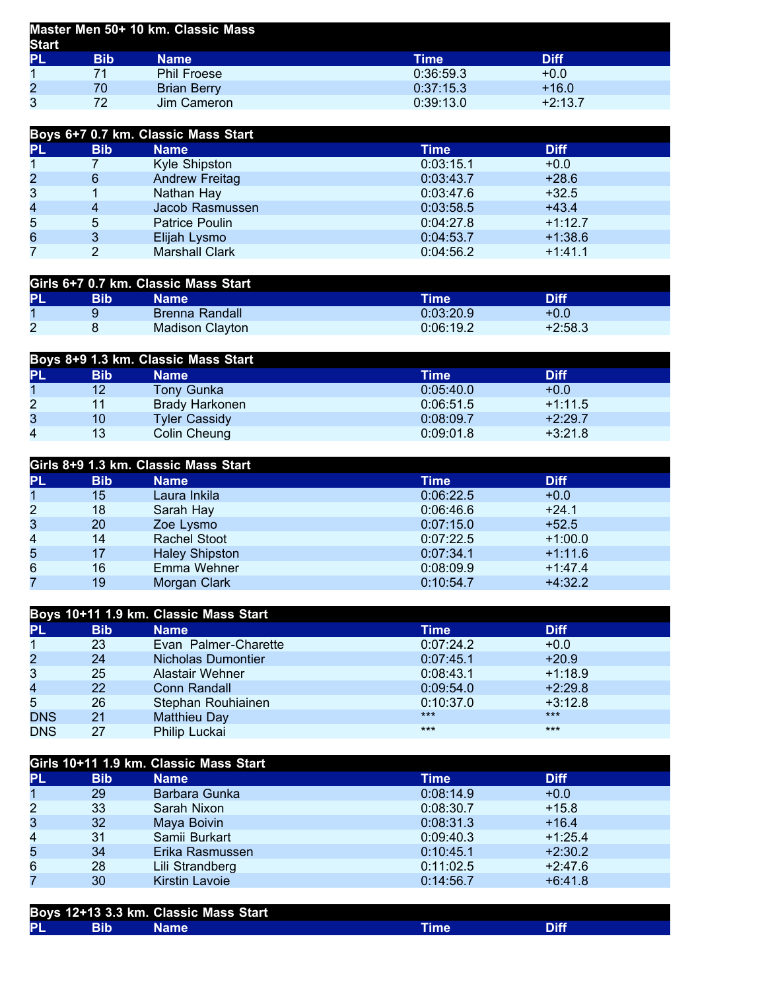| Master Men 50+ 10 km. Classic Mass<br><b>Start</b> |     |                    |           |             |  |
|----------------------------------------------------|-----|--------------------|-----------|-------------|--|
| PL                                                 | Bib | <b>Name</b>        | Time      | <b>Diff</b> |  |
|                                                    | 71  | <b>Phil Froese</b> | 0:36:59.3 | $+0.0$      |  |
| $\overline{c}$                                     | 70  | <b>Brian Berry</b> | 0:37:15.3 | $+16.0$     |  |
| 3                                                  | 72  | Jim Cameron        | 0:39:13.0 | $+2:13.7$   |  |

| Boys 6+7 0.7 km. Classic Mass Start |            |                       |           |             |  |  |
|-------------------------------------|------------|-----------------------|-----------|-------------|--|--|
| <b>PL</b>                           | <b>Bib</b> | <b>Name</b>           | Time      | <b>Diff</b> |  |  |
|                                     |            | Kyle Shipston         | 0:03:15.1 | $+0.0$      |  |  |
| $\overline{2}$                      | 6          | <b>Andrew Freitag</b> | 0:03:43.7 | $+28.6$     |  |  |
| 3                                   |            | Nathan Hay            | 0:03:47.6 | $+32.5$     |  |  |
| 4                                   | 4          | Jacob Rasmussen       | 0:03:58.5 | $+43.4$     |  |  |
| 5                                   | 5          | <b>Patrice Poulin</b> | 0:04:27.8 | $+1:12.7$   |  |  |
| 6                                   |            | Elijah Lysmo          | 0:04:53.7 | $+1:38.6$   |  |  |
|                                     |            | <b>Marshall Clark</b> | 0:04:56.2 | $+1:41.1$   |  |  |

| Girls 6+7 0.7 km. Classic Mass Start |     |                       |           |           |  |
|--------------------------------------|-----|-----------------------|-----------|-----------|--|
| <b>PL</b>                            | Bib | Name                  | Time      | Diff      |  |
|                                      |     | <b>Brenna Randall</b> | 0:03:20.9 | $+0.0$    |  |
|                                      |     | Madison Clayton       | 0:06:19.2 | $+2:58.3$ |  |

| Boys 8+9 1.3 km. Classic Mass Start |            |                       |           |             |  |
|-------------------------------------|------------|-----------------------|-----------|-------------|--|
| PL                                  | <b>Bib</b> | <b>Name</b>           | Time      | <b>Diff</b> |  |
|                                     | 12         | <b>Tony Gunka</b>     | 0:05:40.0 | $+0.0$      |  |
| $\overline{2}$                      |            | <b>Brady Harkonen</b> | 0:06:51.5 | $+1:11.5$   |  |
| 3                                   | 10         | <b>Tyler Cassidy</b>  | 0:08:09.7 | $+2:29.7$   |  |
| 4                                   | 13         | Colin Cheung          | 0:09:01.8 | $+3:21.8$   |  |

| Girls 8+9 1.3 km. Classic Mass Start |            |                       |           |           |  |  |
|--------------------------------------|------------|-----------------------|-----------|-----------|--|--|
| <b>PL</b>                            | <b>Bib</b> | <b>Name</b>           | Time      | Diff      |  |  |
|                                      | 15         | Laura Inkila          | 0:06:22.5 | $+0.0$    |  |  |
| $\overline{2}$                       | 18         | Sarah Hay             | 0.06:46.6 | $+24.1$   |  |  |
| 3                                    | 20         | Zoe Lysmo             | 0:07:15.0 | $+52.5$   |  |  |
| 4                                    | 14         | <b>Rachel Stoot</b>   | 0:07:22.5 | $+1:00.0$ |  |  |
| 5                                    | 17         | <b>Haley Shipston</b> | 0:07:34.1 | $+1:11.6$ |  |  |
| 6                                    | 16         | Emma Wehner           | 0:08:09.9 | $+1:47.4$ |  |  |
|                                      | 19         | Morgan Clark          | 0:10:54.7 | $+4:32.2$ |  |  |

| Boys 10+11 1.9 km. Classic Mass Start |            |                      |           |             |  |
|---------------------------------------|------------|----------------------|-----------|-------------|--|
| <b>PL</b>                             | <b>Bib</b> | <b>Name</b>          | Time      | <b>Diff</b> |  |
| 1                                     | 23         | Evan Palmer-Charette | 0:07:24.2 | $+0.0$      |  |
| $\overline{2}$                        | 24         | Nicholas Dumontier   | 0:07:45.1 | $+20.9$     |  |
| 3                                     | 25         | Alastair Wehner      | 0:08:43.1 | $+1:18.9$   |  |
| 4                                     | 22         | <b>Conn Randall</b>  | 0:09:54.0 | $+2:29.8$   |  |
| 5                                     | 26         | Stephan Rouhiainen   | 0:10:37.0 | $+3:12.8$   |  |
| <b>DNS</b>                            | 21         | Matthieu Day         | $***$     | $***$       |  |
| <b>DNS</b>                            | 27         | Philip Luckai        | $***$     | $***$       |  |

| Girls 10+11 1.9 km. Classic Mass Start |            |                 |           |             |  |
|----------------------------------------|------------|-----------------|-----------|-------------|--|
| PL                                     | <b>Bib</b> | <b>Name</b>     | Time      | <b>Diff</b> |  |
| 1                                      | 29         | Barbara Gunka   | 0:08:14.9 | $+0.0$      |  |
| $\overline{2}$                         | 33         | Sarah Nixon     | 0:08:30.7 | $+15.8$     |  |
| 3                                      | 32         | Maya Boivin     | 0:08:31.3 | $+16.4$     |  |
| 4                                      | 31         | Samii Burkart   | 0:09:40.3 | $+1:25.4$   |  |
| 5                                      | 34         | Erika Rasmussen | 0:10:45.1 | $+2:30.2$   |  |
| $6\phantom{.}6$                        | 28         | Lili Strandberg | 0:11:02.5 | $+2:47.6$   |  |
| 7                                      | 30         | Kirstin Lavoie  | 0:14:56.7 | $+6:41.8$   |  |

|           |            | Boys 12+13 3.3 km. Classic Mass Start |  |
|-----------|------------|---------------------------------------|--|
| <b>PL</b> | <b>Bib</b> | Name'                                 |  |